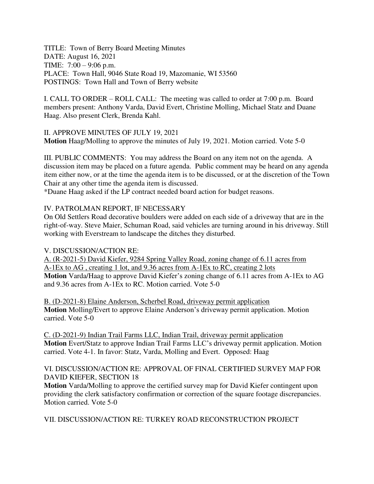TITLE: Town of Berry Board Meeting Minutes DATE: August 16, 2021 TIME: 7:00 – 9:06 p.m. PLACE: Town Hall, 9046 State Road 19, Mazomanie, WI 53560 POSTINGS: Town Hall and Town of Berry website

I. CALL TO ORDER – ROLL CALL: The meeting was called to order at 7:00 p.m. Board members present: Anthony Varda, David Evert, Christine Molling, Michael Statz and Duane Haag. Also present Clerk, Brenda Kahl.

II. APPROVE MINUTES OF JULY 19, 2021 **Motion** Haag/Molling to approve the minutes of July 19, 2021. Motion carried. Vote 5-0

III. PUBLIC COMMENTS: You may address the Board on any item not on the agenda. A discussion item may be placed on a future agenda. Public comment may be heard on any agenda item either now, or at the time the agenda item is to be discussed, or at the discretion of the Town Chair at any other time the agenda item is discussed.

\*Duane Haag asked if the LP contract needed board action for budget reasons.

## IV. PATROLMAN REPORT, IF NECESSARY

On Old Settlers Road decorative boulders were added on each side of a driveway that are in the right-of-way. Steve Maier, Schuman Road, said vehicles are turning around in his driveway. Still working with Everstream to landscape the ditches they disturbed.

## V. DISCUSSION/ACTION RE:

A. (R-2021-5) David Kiefer, 9284 Spring Valley Road, zoning change of 6.11 acres from A-1Ex to AG , creating 1 lot, and 9.36 acres from A-1Ex to RC, creating 2 lots **Motion** Varda/Haag to approve David Kiefer's zoning change of 6.11 acres from A-1Ex to AG and 9.36 acres from A-1Ex to RC. Motion carried. Vote 5-0

B. (D-2021-8) Elaine Anderson, Scherbel Road, driveway permit application **Motion** Molling/Evert to approve Elaine Anderson's driveway permit application. Motion carried. Vote 5-0

C. (D-2021-9) Indian Trail Farms LLC, Indian Trail, driveway permit application **Motion** Evert/Statz to approve Indian Trail Farms LLC's driveway permit application. Motion carried. Vote 4-1. In favor: Statz, Varda, Molling and Evert. Opposed: Haag

### VI. DISCUSSION/ACTION RE: APPROVAL OF FINAL CERTIFIED SURVEY MAP FOR DAVID KIEFER, SECTION 18

**Motion** Varda/Molling to approve the certified survey map for David Kiefer contingent upon providing the clerk satisfactory confirmation or correction of the square footage discrepancies. Motion carried. Vote 5-0

VII. DISCUSSION/ACTION RE: TURKEY ROAD RECONSTRUCTION PROJECT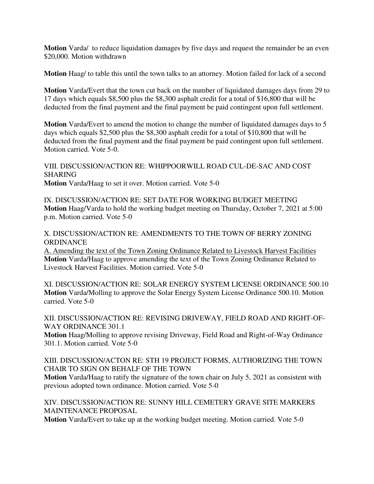**Motion** Varda/ to reduce liquidation damages by five days and request the remainder be an even \$20,000. Motion withdrawn

**Motion** Haag/ to table this until the town talks to an attorney. Motion failed for lack of a second

**Motion** Varda/Evert that the town cut back on the number of liquidated damages days from 29 to 17 days which equals \$8,500 plus the \$8,300 asphalt credit for a total of \$16,800 that will be deducted from the final payment and the final payment be paid contingent upon full settlement.

**Motion** Varda/Evert to amend the motion to change the number of liquidated damages days to 5 days which equals \$2,500 plus the \$8,300 asphalt credit for a total of \$10,800 that will be deducted from the final payment and the final payment be paid contingent upon full settlement. Motion carried. Vote 5-0.

VIII. DISCUSSION/ACTION RE: WHIPPOORWILL ROAD CUL-DE-SAC AND COST SHARING **Motion** Varda/Haag to set it over. Motion carried. Vote 5-0

IX. DISCUSSION/ACTION RE: SET DATE FOR WORKING BUDGET MEETING **Motion** Haag/Varda to hold the working budget meeting on Thursday, October 7, 2021 at 5:00 p.m. Motion carried. Vote 5-0

X. DISCUSSION/ACTION RE: AMENDMENTS TO THE TOWN OF BERRY ZONING **ORDINANCE** 

A. Amending the text of the Town Zoning Ordinance Related to Livestock Harvest Facilities **Motion** Varda/Haag to approve amending the text of the Town Zoning Ordinance Related to Livestock Harvest Facilities. Motion carried. Vote 5-0

XI. DISCUSSION/ACTION RE: SOLAR ENERGY SYSTEM LICENSE ORDINANCE 500.10 **Motion** Varda/Molling to approve the Solar Energy System License Ordinance 500.10. Motion carried. Vote 5-0

XII. DISCUSSION/ACTION RE: REVISING DRIVEWAY, FIELD ROAD AND RIGHT-OF-WAY ORDINANCE 301.1

**Motion** Haag/Molling to approve revising Driveway, Field Road and Right-of-Way Ordinance 301.1. Motion carried. Vote 5-0

XIII. DISCUSSION/ACTON RE: STH 19 PROJECT FORMS, AUTHORIZING THE TOWN CHAIR TO SIGN ON BEHALF OF THE TOWN

**Motion** Varda/Haag to ratify the signature of the town chair on July 5, 2021 as consistent with previous adopted town ordinance. Motion carried. Vote 5-0

XIV. DISCUSSION/ACTION RE: SUNNY HILL CEMETERY GRAVE SITE MARKERS MAINTENANCE PROPOSAL

**Motion** Varda/Evert to take up at the working budget meeting. Motion carried. Vote 5-0